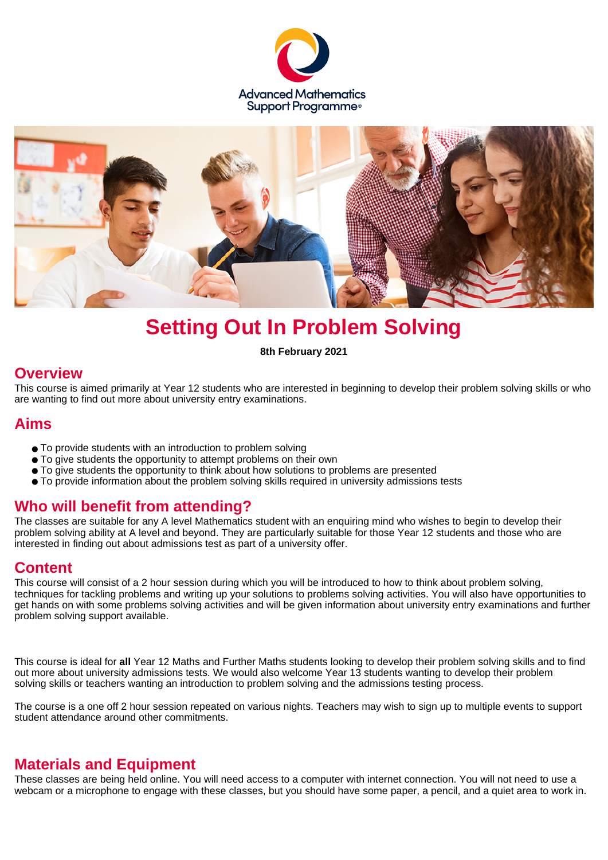



# **Setting Out In Problem Solving**

**8th February 2021**

#### **Overview**

This course is aimed primarily at Year 12 students who are interested in beginning to develop their problem solving skills or who are wanting to find out more about university entry examinations.

## **Aims**

- To provide students with an introduction to problem solving
- To give students the opportunity to attempt problems on their own
- To give students the opportunity to think about how solutions to problems are presented
- To provide information about the problem solving skills required in university admissions tests

## **Who will benefit from attending?**

The classes are suitable for any A level Mathematics student with an enquiring mind who wishes to begin to develop their problem solving ability at A level and beyond. They are particularly suitable for those Year 12 students and those who are interested in finding out about admissions test as part of a university offer.

## **Content**

This course will consist of a 2 hour session during which you will be introduced to how to think about problem solving, techniques for tackling problems and writing up your solutions to problems solving activities. You will also have opportunities to get hands on with some problems solving activities and will be given information about university entry examinations and further problem solving support available.

This course is ideal for **all** Year 12 Maths and Further Maths students looking to develop their problem solving skills and to find out more about university admissions tests. We would also welcome Year 13 students wanting to develop their problem solving skills or teachers wanting an introduction to problem solving and the admissions testing process.

The course is a one off 2 hour session repeated on various nights. Teachers may wish to sign up to multiple events to support student attendance around other commitments.

## **Materials and Equipment**

These classes are being held online. You will need access to a computer with internet connection. You will not need to use a webcam or a microphone to engage with these classes, but you should have some paper, a pencil, and a quiet area to work in.